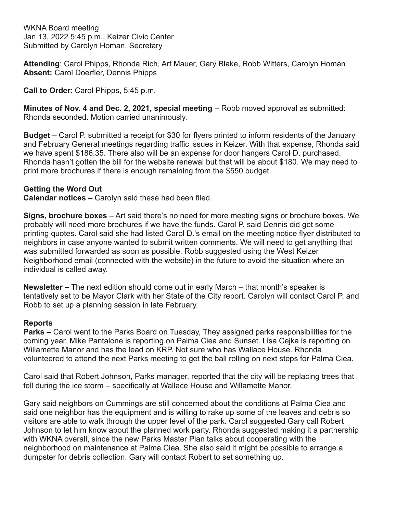WKNA Board meeting Jan 13, 2022 5:45 p.m., Keizer Civic Center Submitted by Carolyn Homan, Secretary

**Attending**: Carol Phipps, Rhonda Rich, Art Mauer, Gary Blake, Robb Witters, Carolyn Homan **Absent:** Carol Doerfler, Dennis Phipps

**Call to Order**: Carol Phipps, 5:45 p.m.

**Minutes of Nov. 4 and Dec. 2, 2021, special meeting** – Robb moved approval as submitted: Rhonda seconded. Motion carried unanimously.

**Budget** – Carol P. submitted a receipt for \$30 for flyers printed to inform residents of the January and February General meetings regarding traffic issues in Keizer. With that expense, Rhonda said we have spent \$186.35. There also will be an expense for door hangers Carol D. purchased. Rhonda hasn't gotten the bill for the website renewal but that will be about \$180. We may need to print more brochures if there is enough remaining from the \$550 budget.

## **Getting the Word Out**

**Calendar notices** – Carolyn said these had been filed.

**Signs, brochure boxes** – Art said there's no need for more meeting signs or brochure boxes. We probably will need more brochures if we have the funds. Carol P. said Dennis did get some printing quotes. Carol said she had listed Carol D.'s email on the meeting notice flyer distributed to neighbors in case anyone wanted to submit written comments. We will need to get anything that was submitted forwarded as soon as possible. Robb suggested using the West Keizer Neighborhood email (connected with the website) in the future to avoid the situation where an individual is called away.

**Newsletter –** The next edition should come out in early March – that month's speaker is tentatively set to be Mayor Clark with her State of the City report. Carolyn will contact Carol P. and Robb to set up a planning session in late February.

## **Reports**

**Parks –** Carol went to the Parks Board on Tuesday, They assigned parks responsibilities for the coming year. Mike Pantalone is reporting on Palma Ciea and Sunset. Lisa Cejka is reporting on Willamette Manor and has the lead on KRP. Not sure who has Wallace House. Rhonda volunteered to attend the next Parks meeting to get the ball rolling on next steps for Palma Ciea.

Carol said that Robert Johnson, Parks manager, reported that the city will be replacing trees that fell during the ice storm – specifically at Wallace House and Willamette Manor.

Gary said neighbors on Cummings are still concerned about the conditions at Palma Ciea and said one neighbor has the equipment and is willing to rake up some of the leaves and debris so visitors are able to walk through the upper level of the park. Carol suggested Gary call Robert Johnson to let him know about the planned work party. Rhonda suggested making it a partnership with WKNA overall, since the new Parks Master Plan talks about cooperating with the neighborhood on maintenance at Palma Ciea. She also said it might be possible to arrange a dumpster for debris collection. Gary will contact Robert to set something up.